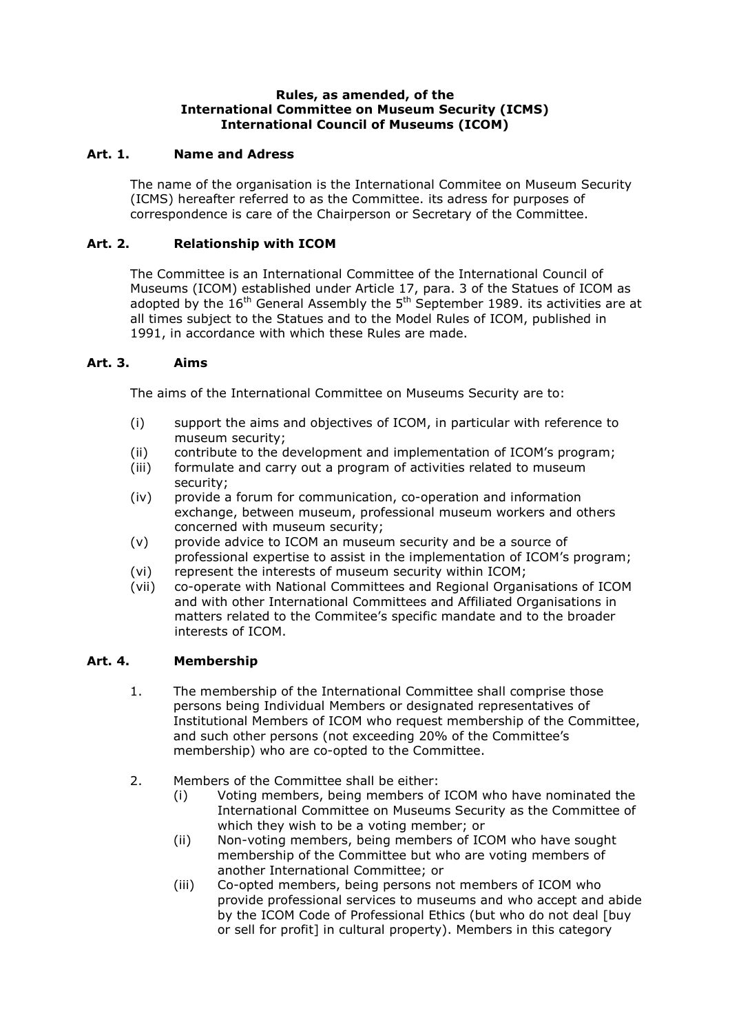### **Rules, as amended, of the International Committee on Museum Security (ICMS) International Council of Museums (ICOM)**

# **Art. 1. Name and Adress**

The name of the organisation is the International Commitee on Museum Security (ICMS) hereafter referred to as the Committee. its adress for purposes of correspondence is care of the Chairperson or Secretary of the Committee.

# **Art. 2. Relationship with ICOM**

The Committee is an International Committee of the International Council of Museums (ICOM) established under Article 17, para. 3 of the Statues of ICOM as adopted by the  $16^{th}$  General Assembly the  $5^{th}$  September 1989. its activities are at all times subject to the Statues and to the Model Rules of ICOM, published in 1991, in accordance with which these Rules are made.

# **Art. 3. Aims**

The aims of the International Committee on Museums Security are to:

- (i) support the aims and objectives of ICOM, in particular with reference to museum security;
- (ii) contribute to the development and implementation of ICOM's program;
- (iii) formulate and carry out a program of activities related to museum security;
- (iv) provide a forum for communication, co-operation and information exchange, between museum, professional museum workers and others concerned with museum security;
- (v) provide advice to ICOM an museum security and be a source of professional expertise to assist in the implementation of ICOM's program;
- (vi) represent the interests of museum security within ICOM;
- (vii) co-operate with National Committees and Regional Organisations of ICOM and with other International Committees and Affiliated Organisations in matters related to the Commitee's specific mandate and to the broader interests of ICOM.

# **Art. 4. Membership**

- 1. The membership of the International Committee shall comprise those persons being Individual Members or designated representatives of Institutional Members of ICOM who request membership of the Committee, and such other persons (not exceeding 20% of the Committee's membership) who are co-opted to the Committee.
- 2. Members of the Committee shall be either:
	- (i) Voting members, being members of ICOM who have nominated the International Committee on Museums Security as the Committee of which they wish to be a voting member; or
	- (ii) Non-voting members, being members of ICOM who have sought membership of the Committee but who are voting members of another International Committee; or
	- (iii) Co-opted members, being persons not members of ICOM who provide professional services to museums and who accept and abide by the ICOM Code of Professional Ethics (but who do not deal [buy or sell for profit] in cultural property). Members in this category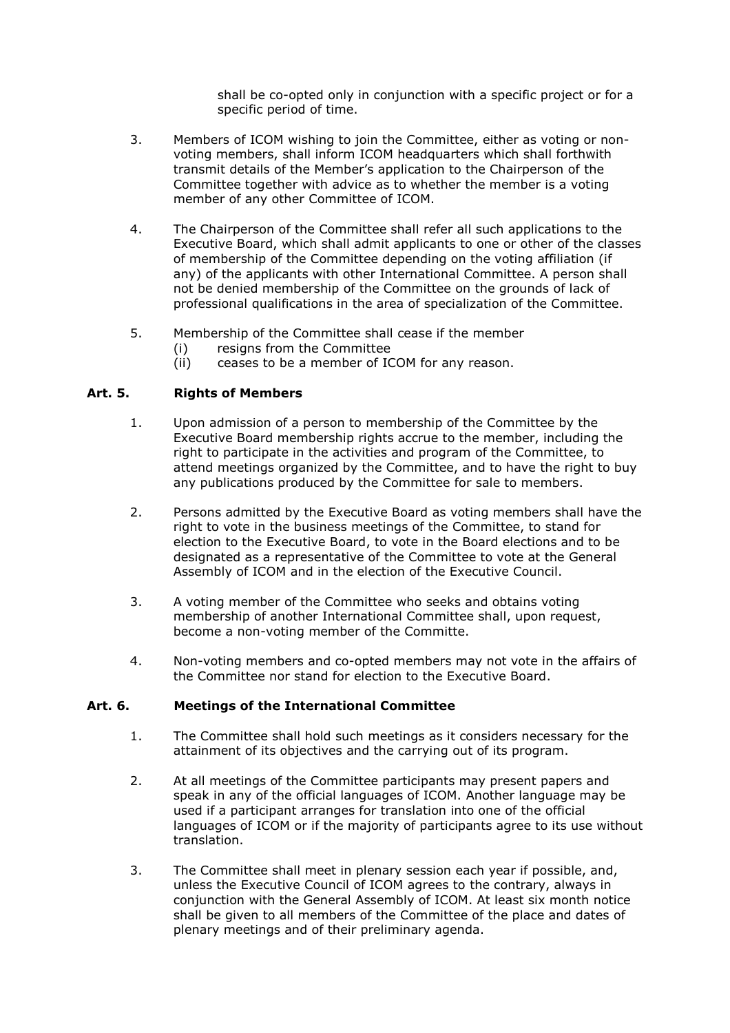shall be co-opted only in conjunction with a specific project or for a specific period of time.

- 3. Members of ICOM wishing to join the Committee, either as voting or nonvoting members, shall inform ICOM headquarters which shall forthwith transmit details of the Member's application to the Chairperson of the Committee together with advice as to whether the member is a voting member of any other Committee of ICOM.
- 4. The Chairperson of the Committee shall refer all such applications to the Executive Board, which shall admit applicants to one or other of the classes of membership of the Committee depending on the voting affiliation (if any) of the applicants with other International Committee. A person shall not be denied membership of the Committee on the grounds of lack of professional qualifications in the area of specialization of the Committee.
- 5. Membership of the Committee shall cease if the member
	- (i) resigns from the Committee
	- (ii) ceases to be a member of ICOM for any reason.

# **Art. 5. Rights of Members**

- 1. Upon admission of a person to membership of the Committee by the Executive Board membership rights accrue to the member, including the right to participate in the activities and program of the Committee, to attend meetings organized by the Committee, and to have the right to buy any publications produced by the Committee for sale to members.
- 2. Persons admitted by the Executive Board as voting members shall have the right to vote in the business meetings of the Committee, to stand for election to the Executive Board, to vote in the Board elections and to be designated as a representative of the Committee to vote at the General Assembly of ICOM and in the election of the Executive Council.
- 3. A voting member of the Committee who seeks and obtains voting membership of another International Committee shall, upon request, become a non-voting member of the Committe.
- 4. Non-voting members and co-opted members may not vote in the affairs of the Committee nor stand for election to the Executive Board.

### **Art. 6. Meetings of the International Committee**

- 1. The Committee shall hold such meetings as it considers necessary for the attainment of its objectives and the carrying out of its program.
- 2. At all meetings of the Committee participants may present papers and speak in any of the official languages of ICOM. Another language may be used if a participant arranges for translation into one of the official languages of ICOM or if the majority of participants agree to its use without translation.
- 3. The Committee shall meet in plenary session each year if possible, and, unless the Executive Council of ICOM agrees to the contrary, always in conjunction with the General Assembly of ICOM. At least six month notice shall be given to all members of the Committee of the place and dates of plenary meetings and of their preliminary agenda.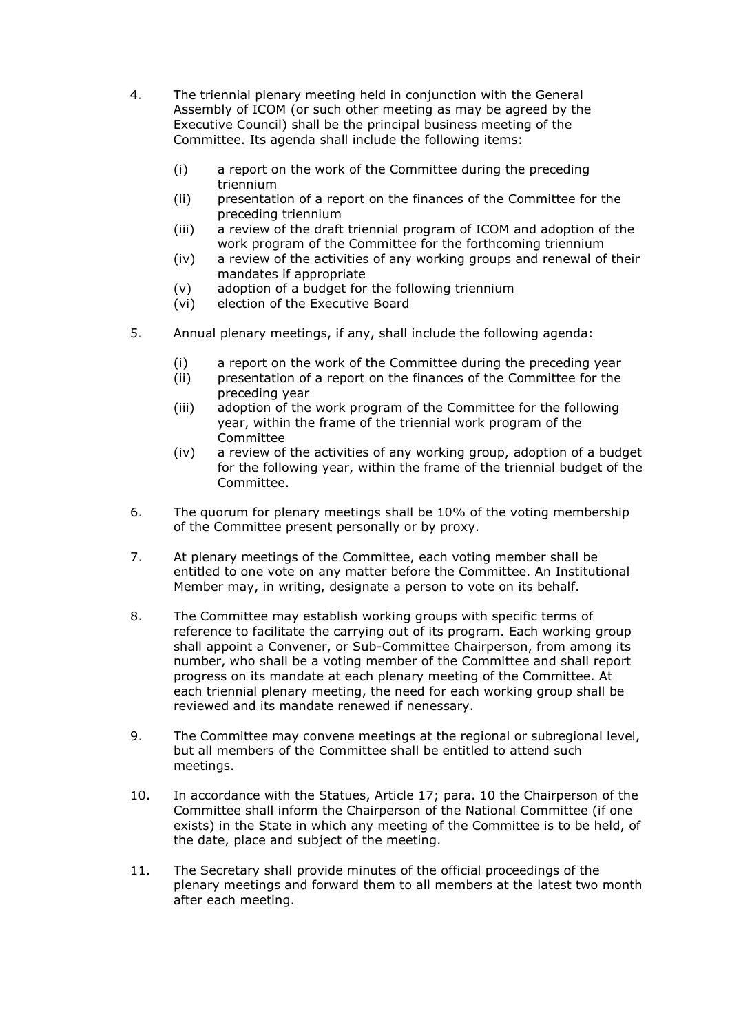- 4. The triennial plenary meeting held in conjunction with the General Assembly of ICOM (or such other meeting as may be agreed by the Executive Council) shall be the principal business meeting of the Committee. Its agenda shall include the following items:
	- (i) a report on the work of the Committee during the preceding triennium
	- (ii) presentation of a report on the finances of the Committee for the preceding triennium
	- (iii) a review of the draft triennial program of ICOM and adoption of the work program of the Committee for the forthcoming triennium
	- (iv) a review of the activities of any working groups and renewal of their mandates if appropriate
	- (v) adoption of a budget for the following triennium
	- (vi) election of the Executive Board
- 5. Annual plenary meetings, if any, shall include the following agenda:
	- (i) a report on the work of the Committee during the preceding year
	- (ii) presentation of a report on the finances of the Committee for the preceding year
	- (iii) adoption of the work program of the Committee for the following year, within the frame of the triennial work program of the Committee
	- (iv) a review of the activities of any working group, adoption of a budget for the following year, within the frame of the triennial budget of the Committee.
- 6. The quorum for plenary meetings shall be 10% of the voting membership of the Committee present personally or by proxy.
- 7. At plenary meetings of the Committee, each voting member shall be entitled to one vote on any matter before the Committee. An Institutional Member may, in writing, designate a person to vote on its behalf.
- 8. The Committee may establish working groups with specific terms of reference to facilitate the carrying out of its program. Each working group shall appoint a Convener, or Sub-Committee Chairperson, from among its number, who shall be a voting member of the Committee and shall report progress on its mandate at each plenary meeting of the Committee. At each triennial plenary meeting, the need for each working group shall be reviewed and its mandate renewed if nenessary.
- 9. The Committee may convene meetings at the regional or subregional level, but all members of the Committee shall be entitled to attend such meetings.
- 10. In accordance with the Statues, Article 17; para. 10 the Chairperson of the Committee shall inform the Chairperson of the National Committee (if one exists) in the State in which any meeting of the Committee is to be held, of the date, place and subject of the meeting.
- 11. The Secretary shall provide minutes of the official proceedings of the plenary meetings and forward them to all members at the latest two month after each meeting.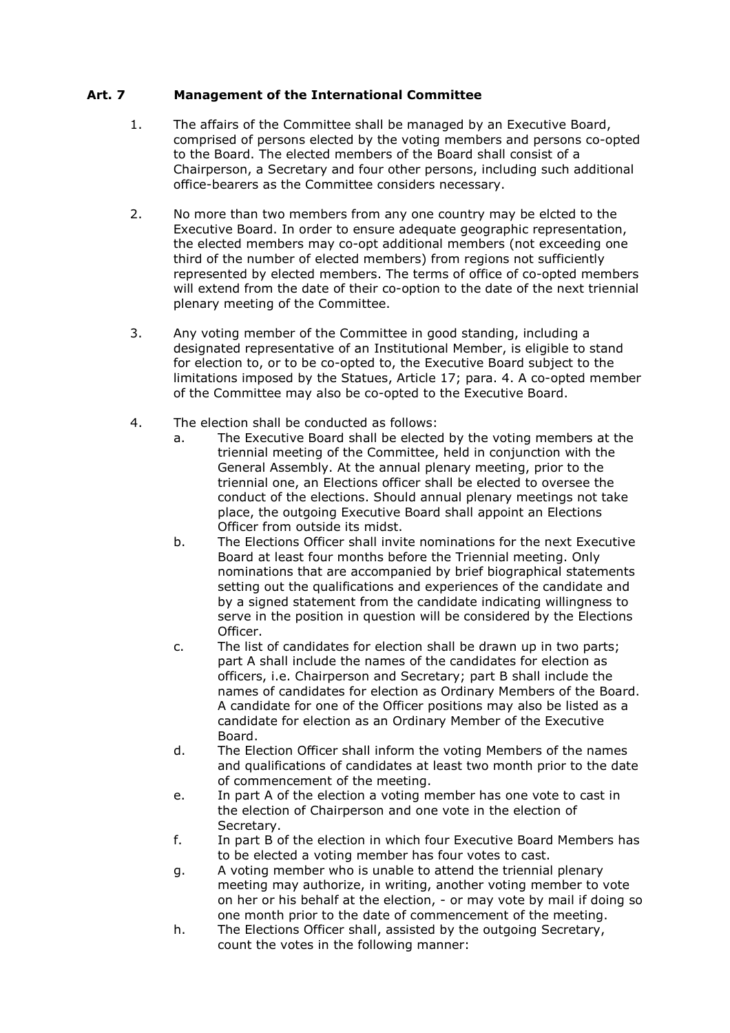# **Art. 7 Management of the International Committee**

- 1. The affairs of the Committee shall be managed by an Executive Board, comprised of persons elected by the voting members and persons co-opted to the Board. The elected members of the Board shall consist of a Chairperson, a Secretary and four other persons, including such additional office-bearers as the Committee considers necessary.
- 2. No more than two members from any one country may be elcted to the Executive Board. In order to ensure adequate geographic representation, the elected members may co-opt additional members (not exceeding one third of the number of elected members) from regions not sufficiently represented by elected members. The terms of office of co-opted members will extend from the date of their co-option to the date of the next triennial plenary meeting of the Committee.
- 3. Any voting member of the Committee in good standing, including a designated representative of an Institutional Member, is eligible to stand for election to, or to be co-opted to, the Executive Board subject to the limitations imposed by the Statues, Article 17; para. 4. A co-opted member of the Committee may also be co-opted to the Executive Board.
- 4. The election shall be conducted as follows:
	- a. The Executive Board shall be elected by the voting members at the triennial meeting of the Committee, held in conjunction with the General Assembly. At the annual plenary meeting, prior to the triennial one, an Elections officer shall be elected to oversee the conduct of the elections. Should annual plenary meetings not take place, the outgoing Executive Board shall appoint an Elections Officer from outside its midst.
	- b. The Elections Officer shall invite nominations for the next Executive Board at least four months before the Triennial meeting. Only nominations that are accompanied by brief biographical statements setting out the qualifications and experiences of the candidate and by a signed statement from the candidate indicating willingness to serve in the position in question will be considered by the Elections Officer.
	- c. The list of candidates for election shall be drawn up in two parts; part A shall include the names of the candidates for election as officers, i.e. Chairperson and Secretary; part B shall include the names of candidates for election as Ordinary Members of the Board. A candidate for one of the Officer positions may also be listed as a candidate for election as an Ordinary Member of the Executive Board.
	- d. The Election Officer shall inform the voting Members of the names and qualifications of candidates at least two month prior to the date of commencement of the meeting.
	- e. In part A of the election a voting member has one vote to cast in the election of Chairperson and one vote in the election of Secretary.
	- f. In part B of the election in which four Executive Board Members has to be elected a voting member has four votes to cast.
	- g. A voting member who is unable to attend the triennial plenary meeting may authorize, in writing, another voting member to vote on her or his behalf at the election, - or may vote by mail if doing so one month prior to the date of commencement of the meeting.
	- h. The Elections Officer shall, assisted by the outgoing Secretary, count the votes in the following manner: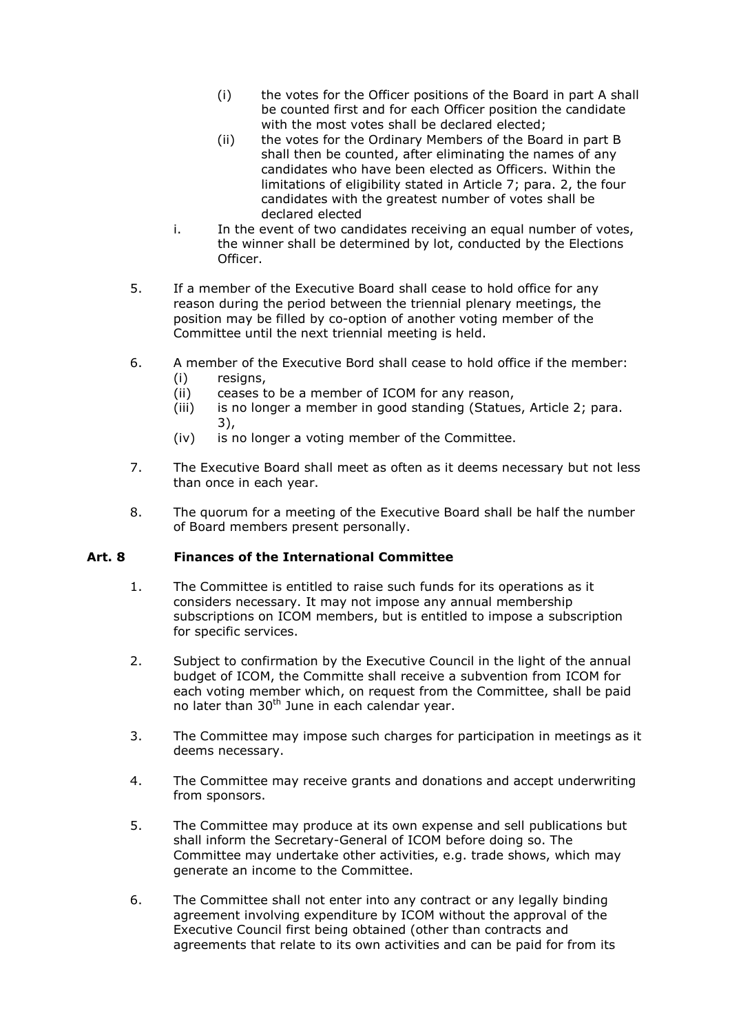- (i) the votes for the Officer positions of the Board in part A shall be counted first and for each Officer position the candidate with the most votes shall be declared elected;
- (ii) the votes for the Ordinary Members of the Board in part B shall then be counted, after eliminating the names of any candidates who have been elected as Officers. Within the limitations of eligibility stated in Article 7; para. 2, the four candidates with the greatest number of votes shall be declared elected
- i. In the event of two candidates receiving an equal number of votes, the winner shall be determined by lot, conducted by the Elections Officer.
- 5. If a member of the Executive Board shall cease to hold office for any reason during the period between the triennial plenary meetings, the position may be filled by co-option of another voting member of the Committee until the next triennial meeting is held.
- 6. A member of the Executive Bord shall cease to hold office if the member:
	- (i) resigns,
	- (ii) ceases to be a member of ICOM for any reason,
	- (iii) is no longer a member in good standing (Statues, Article 2; para. 3),
	- (iv) is no longer a voting member of the Committee.
- 7. The Executive Board shall meet as often as it deems necessary but not less than once in each year.
- 8. The quorum for a meeting of the Executive Board shall be half the number of Board members present personally.

# **Art. 8 Finances of the International Committee**

- 1. The Committee is entitled to raise such funds for its operations as it considers necessary. It may not impose any annual membership subscriptions on ICOM members, but is entitled to impose a subscription for specific services.
- 2. Subject to confirmation by the Executive Council in the light of the annual budget of ICOM, the Committe shall receive a subvention from ICOM for each voting member which, on request from the Committee, shall be paid no later than  $30<sup>th</sup>$  June in each calendar year.
- 3. The Committee may impose such charges for participation in meetings as it deems necessary.
- 4. The Committee may receive grants and donations and accept underwriting from sponsors.
- 5. The Committee may produce at its own expense and sell publications but shall inform the Secretary-General of ICOM before doing so. The Committee may undertake other activities, e.g. trade shows, which may generate an income to the Committee.
- 6. The Committee shall not enter into any contract or any legally binding agreement involving expenditure by ICOM without the approval of the Executive Council first being obtained (other than contracts and agreements that relate to its own activities and can be paid for from its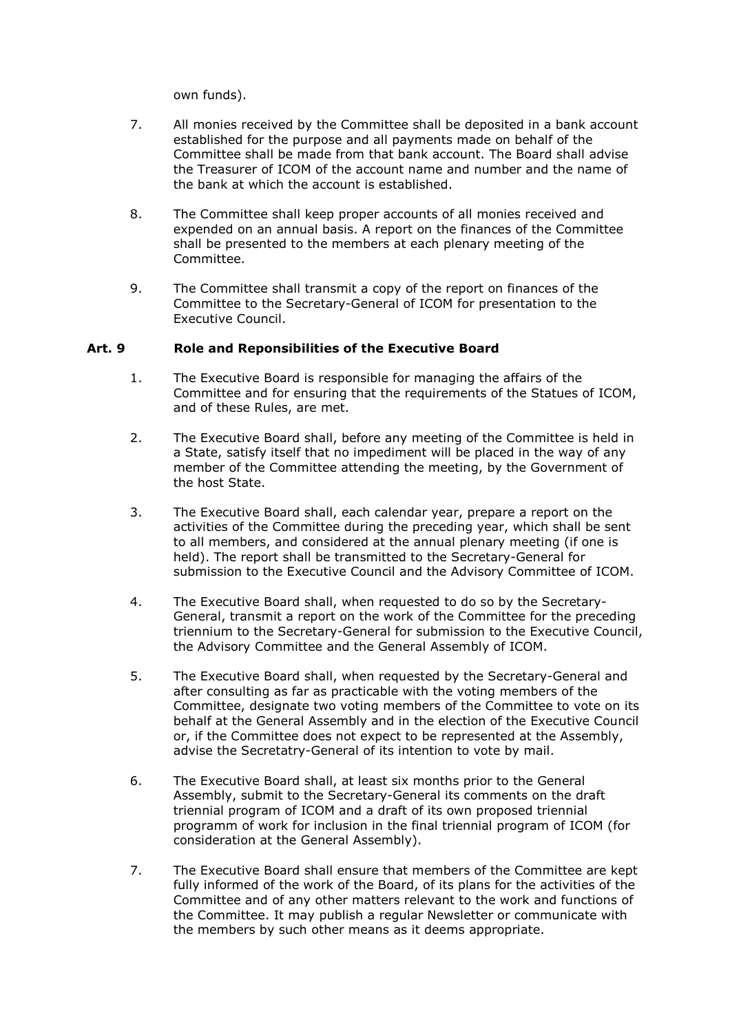own funds).

- 7. All monies received by the Committee shall be deposited in a bank account established for the purpose and all payments made on behalf of the Committee shall be made from that bank account. The Board shall advise the Treasurer of ICOM of the account name and number and the name of the bank at which the account is established.
- 8. The Committee shall keep proper accounts of all monies received and expended on an annual basis. A report on the finances of the Committee shall be presented to the members at each plenary meeting of the Committee.
- 9. The Committee shall transmit a copy of the report on finances of the Committee to the Secretary-General of ICOM for presentation to the Executive Council.

## **Art. 9 Role and Reponsibilities of the Executive Board**

- 1. The Executive Board is responsible for managing the affairs of the Committee and for ensuring that the requirements of the Statues of ICOM, and of these Rules, are met.
- 2. The Executive Board shall, before any meeting of the Committee is held in a State, satisfy itself that no impediment will be placed in the way of any member of the Committee attending the meeting, by the Government of the host State.
- 3. The Executive Board shall, each calendar year, prepare a report on the activities of the Committee during the preceding year, which shall be sent to all members, and considered at the annual plenary meeting (if one is held). The report shall be transmitted to the Secretary-General for submission to the Executive Council and the Advisory Committee of ICOM.
- 4. The Executive Board shall, when requested to do so by the Secretary-General, transmit a report on the work of the Committee for the preceding triennium to the Secretary-General for submission to the Executive Council, the Advisory Committee and the General Assembly of ICOM.
- 5. The Executive Board shall, when requested by the Secretary-General and after consulting as far as practicable with the voting members of the Committee, designate two voting members of the Committee to vote on its behalf at the General Assembly and in the election of the Executive Council or, if the Committee does not expect to be represented at the Assembly, advise the Secretatry-General of its intention to vote by mail.
- 6. The Executive Board shall, at least six months prior to the General Assembly, submit to the Secretary-General its comments on the draft triennial program of ICOM and a draft of its own proposed triennial programm of work for inclusion in the final triennial program of ICOM (for consideration at the General Assembly).
- 7. The Executive Board shall ensure that members of the Committee are kept fully informed of the work of the Board, of its plans for the activities of the Committee and of any other matters relevant to the work and functions of the Committee. It may publish a regular Newsletter or communicate with the members by such other means as it deems appropriate.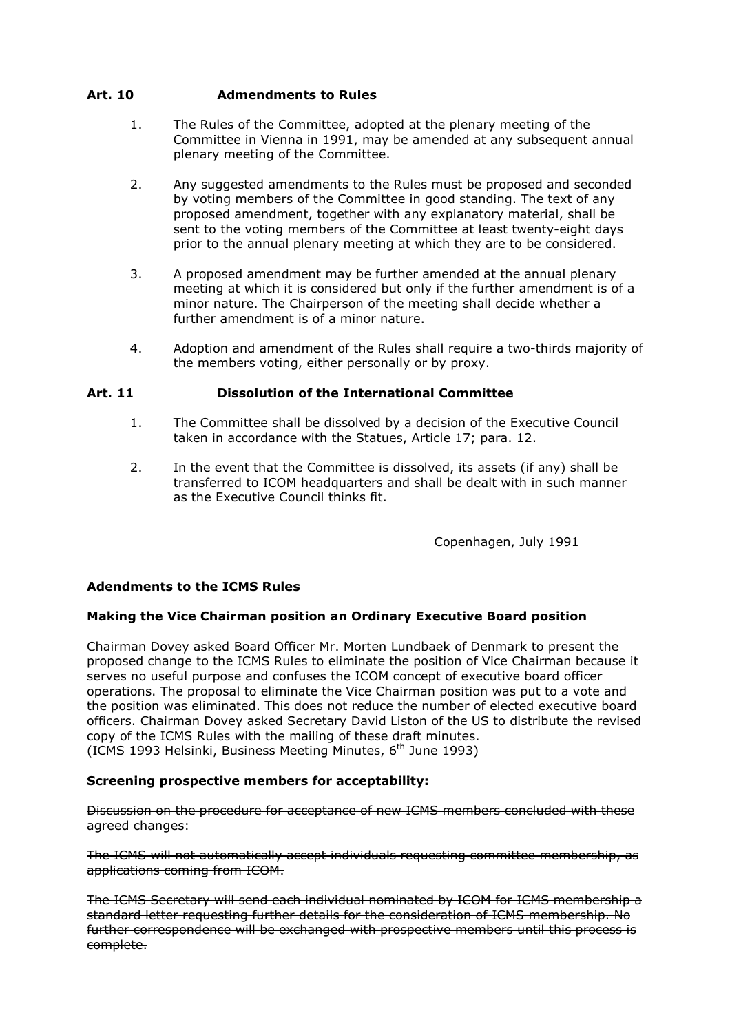## **Art. 10 Admendments to Rules**

- 1. The Rules of the Committee, adopted at the plenary meeting of the Committee in Vienna in 1991, may be amended at any subsequent annual plenary meeting of the Committee.
- 2. Any suggested amendments to the Rules must be proposed and seconded by voting members of the Committee in good standing. The text of any proposed amendment, together with any explanatory material, shall be sent to the voting members of the Committee at least twenty-eight days prior to the annual plenary meeting at which they are to be considered.
- 3. A proposed amendment may be further amended at the annual plenary meeting at which it is considered but only if the further amendment is of a minor nature. The Chairperson of the meeting shall decide whether a further amendment is of a minor nature.
- 4. Adoption and amendment of the Rules shall require a two-thirds majority of the members voting, either personally or by proxy.

## **Art. 11 Dissolution of the International Committee**

- 1. The Committee shall be dissolved by a decision of the Executive Council taken in accordance with the Statues, Article 17; para. 12.
- 2. In the event that the Committee is dissolved, its assets (if any) shall be transferred to ICOM headquarters and shall be dealt with in such manner as the Executive Council thinks fit.

Copenhagen, July 1991

## **Adendments to the ICMS Rules**

### **Making the Vice Chairman position an Ordinary Executive Board position**

Chairman Dovey asked Board Officer Mr. Morten Lundbaek of Denmark to present the proposed change to the ICMS Rules to eliminate the position of Vice Chairman because it serves no useful purpose and confuses the ICOM concept of executive board officer operations. The proposal to eliminate the Vice Chairman position was put to a vote and the position was eliminated. This does not reduce the number of elected executive board officers. Chairman Dovey asked Secretary David Liston of the US to distribute the revised copy of the ICMS Rules with the mailing of these draft minutes. (ICMS 1993 Helsinki, Business Meeting Minutes,  $6<sup>th</sup>$  June 1993)

### **Screening prospective members for acceptability:**

Discussion on the procedure for acceptance of new ICMS members concluded with these agreed changes:

The ICMS will not automatically accept individuals requesting committee membership, as applications coming from ICOM.

The ICMS Secretary will send each individual nominated by ICOM for ICMS membership a standard letter requesting further details for the consideration of ICMS membership. No further correspondence will be exchanged with prospective members until this process is complete.